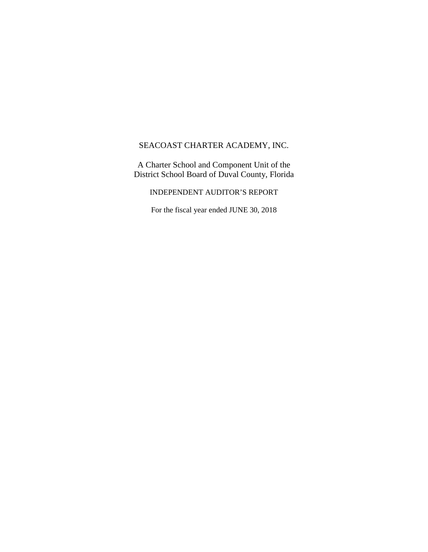A Charter School and Component Unit of the District School Board of Duval County, Florida

INDEPENDENT AUDITOR'S REPORT

For the fiscal year ended JUNE 30, 2018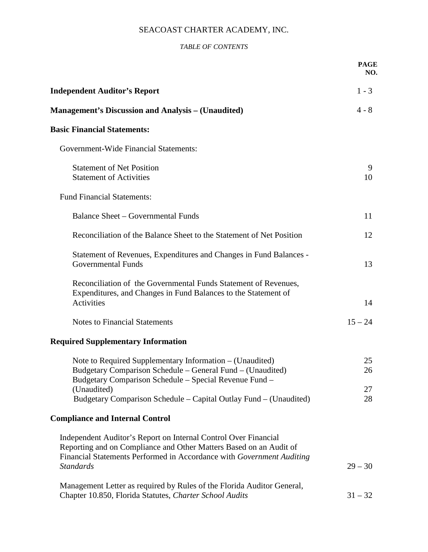## *TABLE OF CONTENTS*

|                                                                                                                                                                                                                | <b>PAGE</b><br>NO. |
|----------------------------------------------------------------------------------------------------------------------------------------------------------------------------------------------------------------|--------------------|
| <b>Independent Auditor's Report</b>                                                                                                                                                                            | $1 - 3$            |
| <b>Management's Discussion and Analysis – (Unaudited)</b>                                                                                                                                                      | $4 - 8$            |
| <b>Basic Financial Statements:</b>                                                                                                                                                                             |                    |
| <b>Government-Wide Financial Statements:</b>                                                                                                                                                                   |                    |
| <b>Statement of Net Position</b><br><b>Statement of Activities</b>                                                                                                                                             | 9<br>10            |
| <b>Fund Financial Statements:</b>                                                                                                                                                                              |                    |
| <b>Balance Sheet - Governmental Funds</b>                                                                                                                                                                      | 11                 |
| Reconciliation of the Balance Sheet to the Statement of Net Position                                                                                                                                           | 12                 |
| Statement of Revenues, Expenditures and Changes in Fund Balances -<br><b>Governmental Funds</b>                                                                                                                | 13                 |
| Reconciliation of the Governmental Funds Statement of Revenues,<br>Expenditures, and Changes in Fund Balances to the Statement of<br>Activities                                                                | 14                 |
| <b>Notes to Financial Statements</b>                                                                                                                                                                           | $15 - 24$          |
| <b>Required Supplementary Information</b>                                                                                                                                                                      |                    |
| Note to Required Supplementary Information – (Unaudited)<br>Budgetary Comparison Schedule – General Fund – (Unaudited)<br>Budgetary Comparison Schedule – Special Revenue Fund –                               | 25<br>26           |
| (Unaudited)<br>Budgetary Comparison Schedule – Capital Outlay Fund – (Unaudited)                                                                                                                               | 27<br>28           |
| <b>Compliance and Internal Control</b>                                                                                                                                                                         |                    |
| Independent Auditor's Report on Internal Control Over Financial<br>Reporting and on Compliance and Other Matters Based on an Audit of<br>Financial Statements Performed in Accordance with Government Auditing |                    |
| <b>Standards</b>                                                                                                                                                                                               | $29 - 30$          |
| Management Letter as required by Rules of the Florida Auditor General,<br>Chapter 10.850, Florida Statutes, Charter School Audits                                                                              | $31 - 32$          |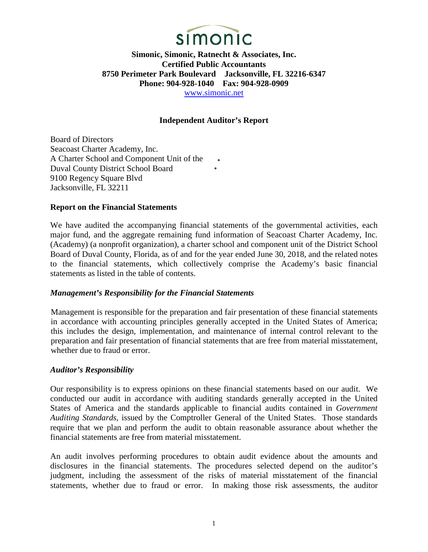

**Simonic, Simonic, Ratnecht & Associates, Inc. Certified Public Accountants 8750 Perimeter Park Boulevard Jacksonville, FL 32216-6347 Phone: 904-928-1040 Fax: 904-928-0909**  [www.simonic.net](http://www.simonic.net/)

## **Independent Auditor's Report**

Board of Directors Seacoast Charter Academy, Inc. A Charter School and Component Unit of the Duval County District School Board 9100 Regency Square Blvd Jacksonville, FL 32211

#### **Report on the Financial Statements**

We have audited the accompanying financial statements of the governmental activities, each major fund, and the aggregate remaining fund information of Seacoast Charter Academy, Inc. (Academy) (a nonprofit organization), a charter school and component unit of the District School Board of Duval County, Florida, as of and for the year ended June 30, 2018, and the related notes to the financial statements, which collectively comprise the Academy's basic financial statements as listed in the table of contents.

#### *Management's Responsibility for the Financial Statements*

Management is responsible for the preparation and fair presentation of these financial statements in accordance with accounting principles generally accepted in the United States of America; this includes the design, implementation, and maintenance of internal control relevant to the preparation and fair presentation of financial statements that are free from material misstatement, whether due to fraud or error.

#### *Auditor's Responsibility*

Our responsibility is to express opinions on these financial statements based on our audit. We conducted our audit in accordance with auditing standards generally accepted in the United States of America and the standards applicable to financial audits contained in *Government Auditing Standards*, issued by the Comptroller General of the United States. Those standards require that we plan and perform the audit to obtain reasonable assurance about whether the financial statements are free from material misstatement.

An audit involves performing procedures to obtain audit evidence about the amounts and disclosures in the financial statements. The procedures selected depend on the auditor's judgment, including the assessment of the risks of material misstatement of the financial statements, whether due to fraud or error. In making those risk assessments, the auditor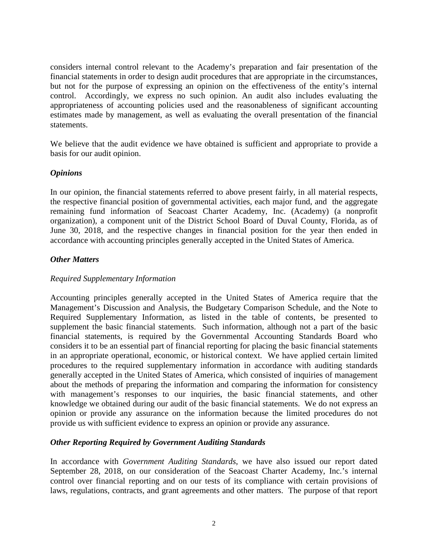considers internal control relevant to the Academy's preparation and fair presentation of the financial statements in order to design audit procedures that are appropriate in the circumstances, but not for the purpose of expressing an opinion on the effectiveness of the entity's internal control. Accordingly, we express no such opinion. An audit also includes evaluating the appropriateness of accounting policies used and the reasonableness of significant accounting estimates made by management, as well as evaluating the overall presentation of the financial statements.

We believe that the audit evidence we have obtained is sufficient and appropriate to provide a basis for our audit opinion.

## *Opinions*

In our opinion, the financial statements referred to above present fairly, in all material respects, the respective financial position of governmental activities, each major fund, and the aggregate remaining fund information of Seacoast Charter Academy, Inc. (Academy) (a nonprofit organization), a component unit of the District School Board of Duval County, Florida, as of June 30, 2018, and the respective changes in financial position for the year then ended in accordance with accounting principles generally accepted in the United States of America.

#### *Other Matters*

#### *Required Supplementary Information*

Accounting principles generally accepted in the United States of America require that the Management's Discussion and Analysis, the Budgetary Comparison Schedule, and the Note to Required Supplementary Information, as listed in the table of contents, be presented to supplement the basic financial statements. Such information, although not a part of the basic financial statements, is required by the Governmental Accounting Standards Board who considers it to be an essential part of financial reporting for placing the basic financial statements in an appropriate operational, economic, or historical context. We have applied certain limited procedures to the required supplementary information in accordance with auditing standards generally accepted in the United States of America, which consisted of inquiries of management about the methods of preparing the information and comparing the information for consistency with management's responses to our inquiries, the basic financial statements, and other knowledge we obtained during our audit of the basic financial statements. We do not express an opinion or provide any assurance on the information because the limited procedures do not provide us with sufficient evidence to express an opinion or provide any assurance.

#### *Other Reporting Required by Government Auditing Standards*

In accordance with *Government Auditing Standards*, we have also issued our report dated September 28, 2018, on our consideration of the Seacoast Charter Academy, Inc.'s internal control over financial reporting and on our tests of its compliance with certain provisions of laws, regulations, contracts, and grant agreements and other matters. The purpose of that report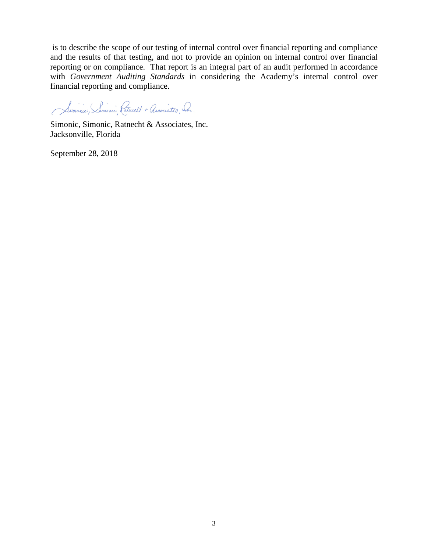is to describe the scope of our testing of internal control over financial reporting and compliance and the results of that testing, and not to provide an opinion on internal control over financial reporting or on compliance. That report is an integral part of an audit performed in accordance with *Government Auditing Standards* in considering the Academy's internal control over financial reporting and compliance.

Simonic, Semonic, Ratrickt + Associates, Sr.

Simonic, Simonic, Ratnecht & Associates, Inc. Jacksonville, Florida

September 28, 2018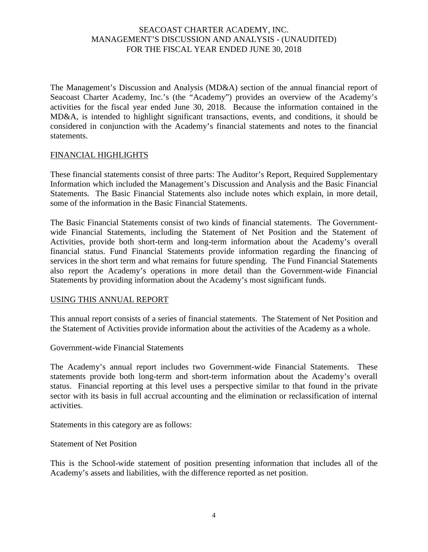The Management's Discussion and Analysis (MD&A) section of the annual financial report of Seacoast Charter Academy, Inc.'s (the "Academy") provides an overview of the Academy's activities for the fiscal year ended June 30, 2018. Because the information contained in the MD&A, is intended to highlight significant transactions, events, and conditions, it should be considered in conjunction with the Academy's financial statements and notes to the financial statements.

#### FINANCIAL HIGHLIGHTS

These financial statements consist of three parts: The Auditor's Report, Required Supplementary Information which included the Management's Discussion and Analysis and the Basic Financial Statements. The Basic Financial Statements also include notes which explain, in more detail, some of the information in the Basic Financial Statements.

The Basic Financial Statements consist of two kinds of financial statements. The Governmentwide Financial Statements, including the Statement of Net Position and the Statement of Activities, provide both short-term and long-term information about the Academy's overall financial status. Fund Financial Statements provide information regarding the financing of services in the short term and what remains for future spending. The Fund Financial Statements also report the Academy's operations in more detail than the Government-wide Financial Statements by providing information about the Academy's most significant funds.

#### USING THIS ANNUAL REPORT

This annual report consists of a series of financial statements. The Statement of Net Position and the Statement of Activities provide information about the activities of the Academy as a whole.

Government-wide Financial Statements

The Academy's annual report includes two Government-wide Financial Statements. These statements provide both long-term and short-term information about the Academy's overall status. Financial reporting at this level uses a perspective similar to that found in the private sector with its basis in full accrual accounting and the elimination or reclassification of internal activities.

Statements in this category are as follows:

Statement of Net Position

This is the School-wide statement of position presenting information that includes all of the Academy's assets and liabilities, with the difference reported as net position.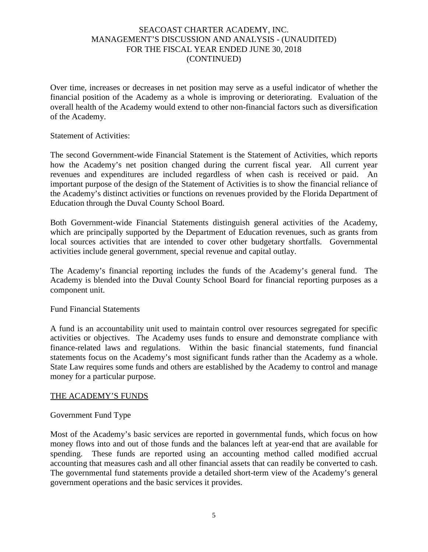Over time, increases or decreases in net position may serve as a useful indicator of whether the financial position of the Academy as a whole is improving or deteriorating. Evaluation of the overall health of the Academy would extend to other non-financial factors such as diversification of the Academy.

#### Statement of Activities:

The second Government-wide Financial Statement is the Statement of Activities, which reports how the Academy's net position changed during the current fiscal year. All current year revenues and expenditures are included regardless of when cash is received or paid. An important purpose of the design of the Statement of Activities is to show the financial reliance of the Academy's distinct activities or functions on revenues provided by the Florida Department of Education through the Duval County School Board.

Both Government-wide Financial Statements distinguish general activities of the Academy, which are principally supported by the Department of Education revenues, such as grants from local sources activities that are intended to cover other budgetary shortfalls. Governmental activities include general government, special revenue and capital outlay.

The Academy's financial reporting includes the funds of the Academy's general fund. The Academy is blended into the Duval County School Board for financial reporting purposes as a component unit.

#### Fund Financial Statements

A fund is an accountability unit used to maintain control over resources segregated for specific activities or objectives. The Academy uses funds to ensure and demonstrate compliance with finance-related laws and regulations. Within the basic financial statements, fund financial statements focus on the Academy's most significant funds rather than the Academy as a whole. State Law requires some funds and others are established by the Academy to control and manage money for a particular purpose.

#### THE ACADEMY'S FUNDS

#### Government Fund Type

Most of the Academy's basic services are reported in governmental funds, which focus on how money flows into and out of those funds and the balances left at year-end that are available for spending. These funds are reported using an accounting method called modified accrual accounting that measures cash and all other financial assets that can readily be converted to cash. The governmental fund statements provide a detailed short-term view of the Academy's general government operations and the basic services it provides.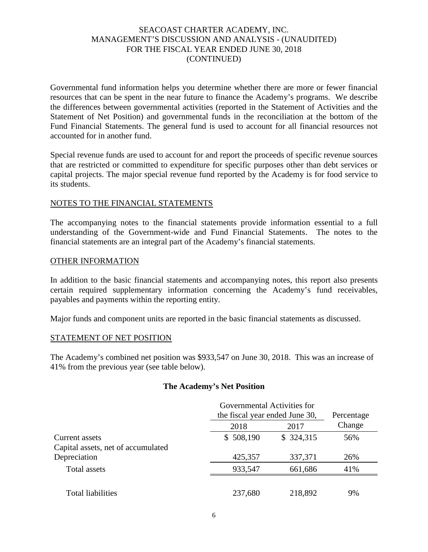Governmental fund information helps you determine whether there are more or fewer financial resources that can be spent in the near future to finance the Academy's programs. We describe the differences between governmental activities (reported in the Statement of Activities and the Statement of Net Position) and governmental funds in the reconciliation at the bottom of the Fund Financial Statements. The general fund is used to account for all financial resources not accounted for in another fund.

Special revenue funds are used to account for and report the proceeds of specific revenue sources that are restricted or committed to expenditure for specific purposes other than debt services or capital projects. The major special revenue fund reported by the Academy is for food service to its students.

#### NOTES TO THE FINANCIAL STATEMENTS

The accompanying notes to the financial statements provide information essential to a full understanding of the Government-wide and Fund Financial Statements. The notes to the financial statements are an integral part of the Academy's financial statements.

#### OTHER INFORMATION

In addition to the basic financial statements and accompanying notes, this report also presents certain required supplementary information concerning the Academy's fund receivables, payables and payments within the reporting entity.

Major funds and component units are reported in the basic financial statements as discussed.

#### STATEMENT OF NET POSITION

The Academy's combined net position was \$933,547 on June 30, 2018. This was an increase of 41% from the previous year (see table below).

#### **The Academy's Net Position**

|                                    | Governmental Activities for |                                |        |  |  |  |
|------------------------------------|-----------------------------|--------------------------------|--------|--|--|--|
|                                    |                             | the fiscal year ended June 30, |        |  |  |  |
|                                    | 2018                        | 2017                           | Change |  |  |  |
| Current assets                     | \$508,190                   | \$ 324,315                     | 56%    |  |  |  |
| Capital assets, net of accumulated |                             |                                |        |  |  |  |
| Depreciation                       | 425,357                     | 337,371                        | 26%    |  |  |  |
| Total assets                       | 933,547                     | 661,686                        | 41%    |  |  |  |
|                                    |                             |                                |        |  |  |  |
| <b>Total liabilities</b>           | 237,680                     | 218,892                        | 9%     |  |  |  |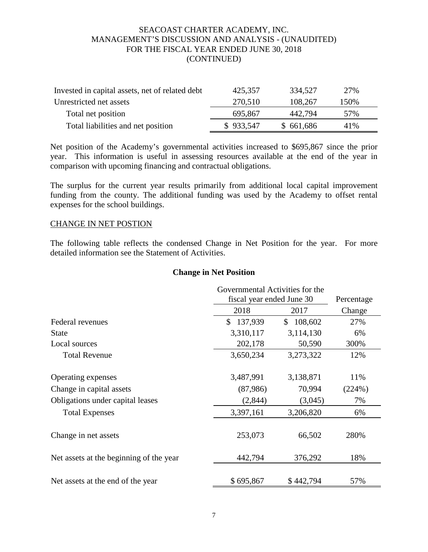| Invested in capital assets, net of related debt | 425,357   | 334,527   | 27%  |
|-------------------------------------------------|-----------|-----------|------|
| Unrestricted net assets                         | 270,510   | 108,267   | 150% |
| Total net position                              | 695,867   | 442,794   | 57%  |
| Total liabilities and net position              | \$933,547 | \$661,686 | 41\% |

Net position of the Academy's governmental activities increased to \$695,867 since the prior year. This information is useful in assessing resources available at the end of the year in comparison with upcoming financing and contractual obligations.

The surplus for the current year results primarily from additional local capital improvement funding from the county. The additional funding was used by the Academy to offset rental expenses for the school buildings.

#### CHANGE IN NET POSTION

The following table reflects the condensed Change in Net Position for the year. For more detailed information see the Statement of Activities.

#### **Change in Net Position**

|                                         | Governmental Activities for the |                           |        |  |  |  |
|-----------------------------------------|---------------------------------|---------------------------|--------|--|--|--|
|                                         |                                 | fiscal year ended June 30 |        |  |  |  |
|                                         | 2018                            | 2017                      | Change |  |  |  |
| Federal revenues                        | 137,939<br>\$                   | 108,602<br>S.             | 27%    |  |  |  |
| <b>State</b>                            | 3,310,117                       | 3,114,130                 | 6%     |  |  |  |
| Local sources                           | 202,178                         | 50,590                    | 300%   |  |  |  |
| <b>Total Revenue</b>                    | 3,650,234                       | 3,273,322                 | 12%    |  |  |  |
| Operating expenses                      | 3,487,991                       | 3,138,871                 | 11%    |  |  |  |
| Change in capital assets                | (87,986)                        | 70,994                    | (224%) |  |  |  |
| Obligations under capital leases        | (2,844)                         | (3,045)                   | 7%     |  |  |  |
| <b>Total Expenses</b>                   | 3,397,161                       | 3,206,820                 | 6%     |  |  |  |
| Change in net assets                    | 253,073                         | 66,502                    | 280%   |  |  |  |
| Net assets at the beginning of the year | 442,794                         | 376,292                   | 18%    |  |  |  |
| Net assets at the end of the year       | \$695,867                       | \$442,794                 | 57%    |  |  |  |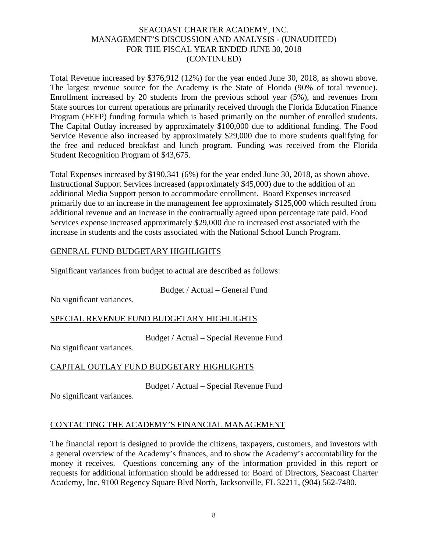Total Revenue increased by \$376,912 (12%) for the year ended June 30, 2018, as shown above. The largest revenue source for the Academy is the State of Florida (90% of total revenue). Enrollment increased by 20 students from the previous school year (5%), and revenues from State sources for current operations are primarily received through the Florida Education Finance Program (FEFP) funding formula which is based primarily on the number of enrolled students. The Capital Outlay increased by approximately \$100,000 due to additional funding. The Food Service Revenue also increased by approximately \$29,000 due to more students qualifying for the free and reduced breakfast and lunch program. Funding was received from the Florida Student Recognition Program of \$43,675.

Total Expenses increased by \$190,341 (6%) for the year ended June 30, 2018, as shown above. Instructional Support Services increased (approximately \$45,000) due to the addition of an additional Media Support person to accommodate enrollment. Board Expenses increased primarily due to an increase in the management fee approximately \$125,000 which resulted from additional revenue and an increase in the contractually agreed upon percentage rate paid. Food Services expense increased approximately \$29,000 due to increased cost associated with the increase in students and the costs associated with the National School Lunch Program.

# GENERAL FUND BUDGETARY HIGHLIGHTS

Significant variances from budget to actual are described as follows:

Budget / Actual – General Fund

No significant variances.

# SPECIAL REVENUE FUND BUDGETARY HIGHLIGHTS

Budget / Actual – Special Revenue Fund

No significant variances.

# CAPITAL OUTLAY FUND BUDGETARY HIGHLIGHTS

Budget / Actual – Special Revenue Fund

No significant variances.

# CONTACTING THE ACADEMY'S FINANCIAL MANAGEMENT

The financial report is designed to provide the citizens, taxpayers, customers, and investors with a general overview of the Academy's finances, and to show the Academy's accountability for the money it receives. Questions concerning any of the information provided in this report or requests for additional information should be addressed to: Board of Directors, Seacoast Charter Academy, Inc. 9100 Regency Square Blvd North, Jacksonville, FL 32211, (904) 562-7480.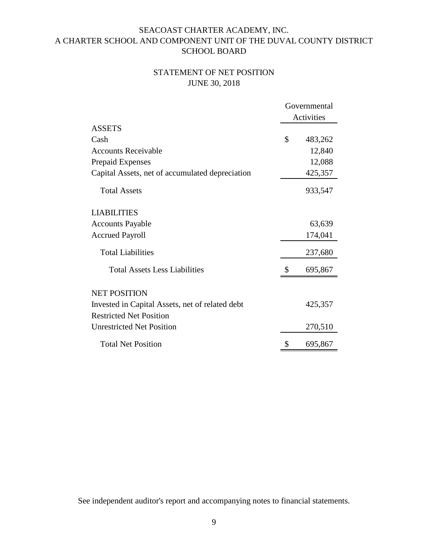# STATEMENT OF NET POSITION JUNE 30, 2018

|                                                 | Governmental  |
|-------------------------------------------------|---------------|
|                                                 | Activities    |
| <b>ASSETS</b>                                   |               |
| Cash                                            | \$<br>483,262 |
| <b>Accounts Receivable</b>                      | 12,840        |
| <b>Prepaid Expenses</b>                         | 12,088        |
| Capital Assets, net of accumulated depreciation | 425,357       |
| <b>Total Assets</b>                             | 933,547       |
| <b>LIABILITIES</b>                              |               |
| <b>Accounts Payable</b>                         | 63,639        |
| <b>Accrued Payroll</b>                          | 174,041       |
| <b>Total Liabilities</b>                        | 237,680       |
| <b>Total Assets Less Liabilities</b>            | \$<br>695,867 |
| <b>NET POSITION</b>                             |               |
| Invested in Capital Assets, net of related debt | 425,357       |
| <b>Restricted Net Position</b>                  |               |
| <b>Unrestricted Net Position</b>                | 270,510       |
| <b>Total Net Position</b>                       | \$<br>695,867 |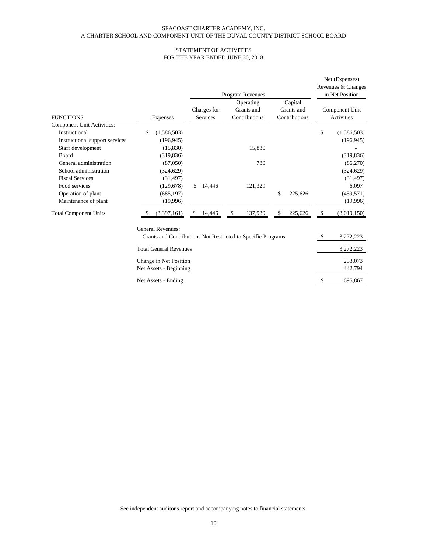# STATEMENT OF ACTIVITIES FOR THE YEAR ENDED JUNE 30, 2018

|                                                          |                                                                                          |               |                         | <b>Program Revenues</b>                  |               |                                        | Net (Expenses)<br>Revenues & Changes<br>in Net Position |
|----------------------------------------------------------|------------------------------------------------------------------------------------------|---------------|-------------------------|------------------------------------------|---------------|----------------------------------------|---------------------------------------------------------|
| <b>FUNCTIONS</b>                                         | <b>Expenses</b>                                                                          |               | Charges for<br>Services | Operating<br>Grants and<br>Contributions |               | Capital<br>Grants and<br>Contributions | Component Unit<br>Activities                            |
| <b>Component Unit Activities:</b><br>Instructional       | \$<br>(1,586,503)                                                                        |               |                         |                                          |               |                                        | \$<br>(1,586,503)                                       |
| Instructional support services<br>Staff development      | (196, 945)<br>(15,830)                                                                   |               |                         | 15,830                                   |               |                                        | (196, 945)                                              |
| Board<br>General administration<br>School administration | (319, 836)<br>(87,050)<br>(324, 629)                                                     |               |                         | 780                                      |               |                                        | (319, 836)<br>(86,270)<br>(324, 629)                    |
| <b>Fiscal Services</b><br>Food services                  | (31, 497)<br>(129, 678)                                                                  | $\mathcal{S}$ | 14,446                  | 121,329                                  |               |                                        | (31, 497)<br>6,097                                      |
| Operation of plant<br>Maintenance of plant               | (685, 197)<br>(19,996)                                                                   |               |                         |                                          | $\mathcal{S}$ | 225,626                                | (459, 571)<br>(19,996)                                  |
| <b>Total Component Units</b>                             | (3,397,161)                                                                              | \$            | 14,446                  | \$<br>137,939                            | \$            | 225,626                                | \$<br>(3,019,150)                                       |
|                                                          | <b>General Revenues:</b><br>Grants and Contributions Not Restricted to Specific Programs |               |                         |                                          |               |                                        | \$<br>3,272,223                                         |
|                                                          | <b>Total General Revenues</b>                                                            |               |                         |                                          |               |                                        | 3,272,223                                               |
|                                                          | Change in Net Position<br>Net Assets - Beginning                                         |               |                         |                                          |               |                                        | 253,073<br>442,794                                      |
|                                                          | Net Assets - Ending                                                                      |               |                         |                                          |               |                                        | \$<br>695,867                                           |

See independent auditor's report and accompanying notes to financial statements.

10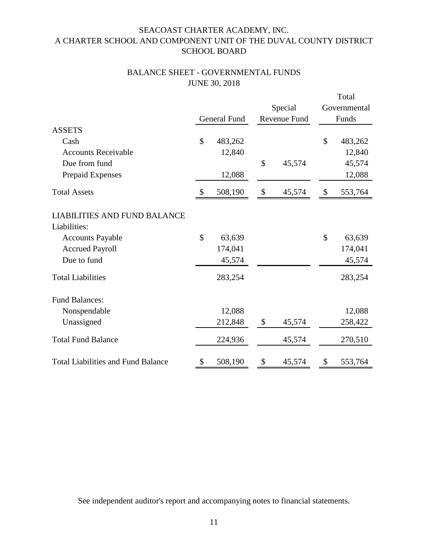# BALANCE SHEET - GOVERNMENTAL FUNDS JUNE 30, 2018

|                                                     |               |                     |              |              | Total        |
|-----------------------------------------------------|---------------|---------------------|--------------|--------------|--------------|
|                                                     |               |                     | Special      |              | Governmental |
|                                                     |               | <b>General Fund</b> | Revenue Fund | Funds        |              |
| <b>ASSETS</b>                                       |               |                     |              |              |              |
| Cash                                                | \$            | 483,262             |              | $\mathbb{S}$ | 483,262      |
| <b>Accounts Receivable</b>                          |               | 12,840              |              |              | 12,840       |
| Due from fund                                       |               |                     | \$<br>45,574 |              | 45,574       |
| Prepaid Expenses                                    |               | 12,088              |              |              | 12,088       |
| <b>Total Assets</b>                                 | $\mathcal{S}$ | 508,190             | \$<br>45,574 | \$           | 553,764      |
| <b>LIABILITIES AND FUND BALANCE</b><br>Liabilities: |               |                     |              |              |              |
| <b>Accounts Payable</b>                             | \$            | 63,639              |              | \$           | 63,639       |
| <b>Accrued Payroll</b>                              |               | 174,041             |              |              | 174,041      |
| Due to fund                                         |               | 45,574              |              |              | 45,574       |
| <b>Total Liabilities</b>                            |               | 283,254             |              |              | 283,254      |
| <b>Fund Balances:</b>                               |               |                     |              |              |              |
| Nonspendable                                        |               | 12,088              |              |              | 12,088       |
| Unassigned                                          |               | 212,848             | \$<br>45,574 |              | 258,422      |
| <b>Total Fund Balance</b>                           |               | 224,936             | 45,574       |              | 270,510      |
| <b>Total Liabilities and Fund Balance</b>           | \$            | 508,190             | \$<br>45,574 | \$           | 553,764      |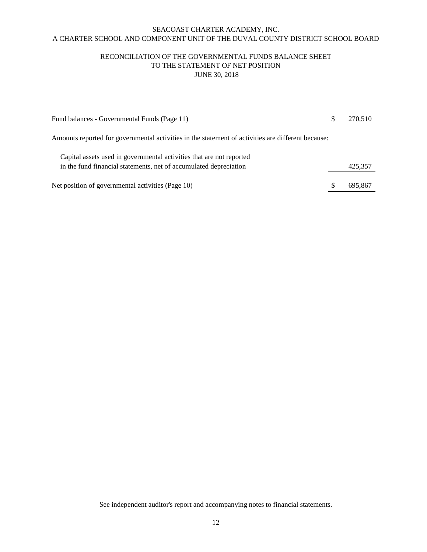# RECONCILIATION OF THE GOVERNMENTAL FUNDS BALANCE SHEET TO THE STATEMENT OF NET POSITION JUNE 30, 2018

| Fund balances - Governmental Funds (Page 11)                                                       | 270,510 |
|----------------------------------------------------------------------------------------------------|---------|
| Amounts reported for governmental activities in the statement of activities are different because: |         |
| Capital assets used in governmental activities that are not reported                               |         |
| in the fund financial statements, net of accumulated depreciation                                  | 425,357 |
| Net position of governmental activities (Page 10)                                                  | 695,867 |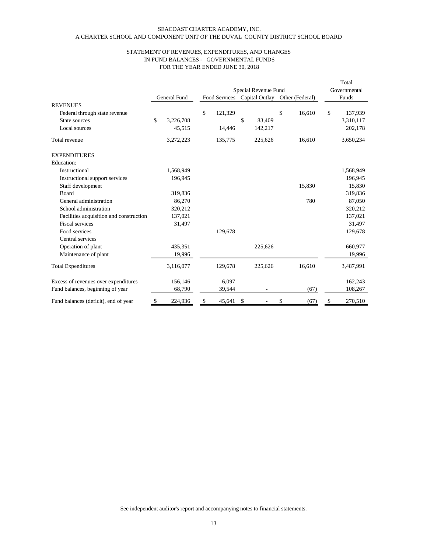|                                         |                           |                     |                      |               |                           |                |    |                 | Total         |
|-----------------------------------------|---------------------------|---------------------|----------------------|---------------|---------------------------|----------------|----|-----------------|---------------|
|                                         |                           |                     | Special Revenue Fund |               |                           |                |    | Governmental    |               |
|                                         |                           | <b>General Fund</b> |                      | Food Services |                           | Capital Outlay |    | Other (Federal) | Funds         |
| <b>REVENUES</b>                         |                           |                     |                      |               |                           |                |    |                 |               |
| Federal through state revenue           |                           |                     | \$                   | 121,329       |                           |                | \$ | 16,610          | \$<br>137,939 |
| State sources                           | \$                        | 3,226,708           |                      |               | \$                        | 83,409         |    |                 | 3,310,117     |
| Local sources                           |                           | 45,515              |                      | 14,446        |                           | 142,217        |    |                 | 202,178       |
| Total revenue                           |                           | 3,272,223           |                      | 135,775       |                           | 225,626        |    | 16,610          | 3,650,234     |
| <b>EXPENDITURES</b>                     |                           |                     |                      |               |                           |                |    |                 |               |
| Education:                              |                           |                     |                      |               |                           |                |    |                 |               |
| Instructional                           |                           | 1,568,949           |                      |               |                           |                |    |                 | 1,568,949     |
| Instructional support services          |                           | 196,945             |                      |               |                           |                |    |                 | 196,945       |
| Staff development                       |                           |                     |                      |               |                           |                |    | 15,830          | 15,830        |
| Board                                   |                           | 319,836             |                      |               |                           |                |    |                 | 319,836       |
| General administration                  |                           | 86,270              |                      |               |                           |                |    | 780             | 87,050        |
| School administration                   |                           | 320,212             |                      |               |                           |                |    |                 | 320,212       |
| Facilities acquisition and construction |                           | 137,021             |                      |               |                           |                |    |                 | 137,021       |
| <b>Fiscal services</b>                  |                           | 31,497              |                      |               |                           |                |    |                 | 31,497        |
| Food services                           |                           |                     |                      | 129,678       |                           |                |    |                 | 129,678       |
| Central services                        |                           |                     |                      |               |                           |                |    |                 |               |
| Operation of plant                      |                           | 435,351             |                      |               |                           | 225,626        |    |                 | 660,977       |
| Maintenance of plant                    |                           | 19,996              |                      |               |                           |                |    |                 | 19,996        |
| <b>Total Expenditures</b>               |                           | 3,116,077           |                      | 129,678       |                           | 225,626        |    | 16,610          | 3,487,991     |
| Excess of revenues over expenditures    |                           | 156,146             |                      | 6,097         |                           |                |    |                 | 162,243       |
| Fund balances, beginning of year        |                           | 68,790              |                      | 39,544        |                           |                |    | (67)            | 108,267       |
| Fund balances (deficit), end of year    | $\boldsymbol{\mathsf{S}}$ | 224,936             | \$                   | 45,641        | $\boldsymbol{\mathsf{S}}$ |                | \$ | (67)            | \$<br>270,510 |

# A CHARTER SCHOOL AND COMPONENT UNIT OF THE DUVAL COUNTY DISTRICT SCHOOL BOARD SEACOAST CHARTER ACADEMY, INC.

# FOR THE YEAR ENDED JUNE 30, 2018 STATEMENT OF REVENUES, EXPENDITURES, AND CHANGES IN FUND BALANCES - GOVERNMENTAL FUNDS

See independent auditor's report and accompanying notes to financial statements.

13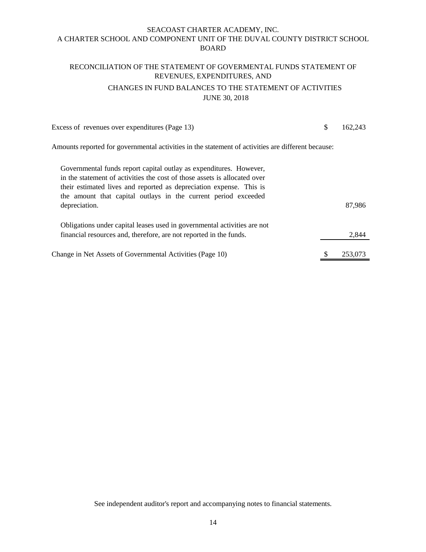# RECONCILIATION OF THE STATEMENT OF GOVERMENTAL FUNDS STATEMENT OF REVENUES, EXPENDITURES, AND

# CHANGES IN FUND BALANCES TO THE STATEMENT OF ACTIVITIES JUNE 30, 2018

Excess of revenues over expenditures (Page 13) \$ 162,243

Amounts reported for governmental activities in the statement of activities are different because:

| Governmental funds report capital outlay as expenditures. However,        |               |
|---------------------------------------------------------------------------|---------------|
| in the statement of activities the cost of those assets is allocated over |               |
| their estimated lives and reported as depreciation expense. This is       |               |
| the amount that capital outlays in the current period exceeded            |               |
| depreciation.                                                             | 87,986        |
|                                                                           |               |
| Obligations under capital leases used in governmental activities are not  |               |
| financial resources and, therefore, are not reported in the funds.        | 2,844         |
|                                                                           |               |
| Change in Net Assets of Governmental Activities (Page 10)                 | \$<br>253,073 |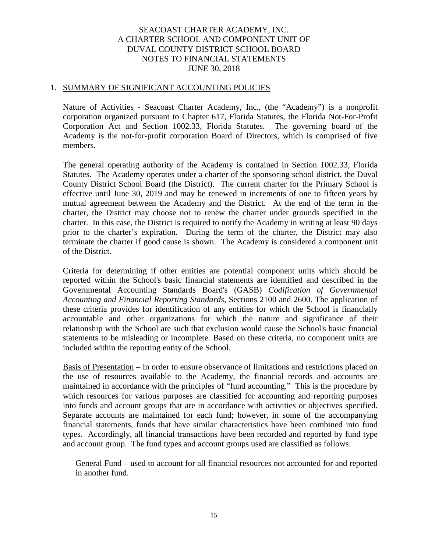#### 1. SUMMARY OF SIGNIFICANT ACCOUNTING POLICIES

Nature of Activities - Seacoast Charter Academy, Inc., (the "Academy") is a nonprofit corporation organized pursuant to Chapter 617, Florida Statutes, the Florida Not-For-Profit Corporation Act and Section 1002.33, Florida Statutes. The governing board of the Academy is the not-for-profit corporation Board of Directors, which is comprised of five members.

The general operating authority of the Academy is contained in Section 1002.33, Florida Statutes. The Academy operates under a charter of the sponsoring school district, the Duval County District School Board (the District). The current charter for the Primary School is effective until June 30, 2019 and may be renewed in increments of one to fifteen years by mutual agreement between the Academy and the District. At the end of the term in the charter, the District may choose not to renew the charter under grounds specified in the charter. In this case, the District is required to notify the Academy in writing at least 90 days prior to the charter's expiration. During the term of the charter, the District may also terminate the charter if good cause is shown. The Academy is considered a component unit of the District.

Criteria for determining if other entities are potential component units which should be reported within the School's basic financial statements are identified and described in the Governmental Accounting Standards Board's (GASB) *Codification of Governmental Accounting and Financial Reporting Standards*, Sections 2100 and 2600. The application of these criteria provides for identification of any entities for which the School is financially accountable and other organizations for which the nature and significance of their relationship with the School are such that exclusion would cause the School's basic financial statements to be misleading or incomplete. Based on these criteria, no component units are included within the reporting entity of the School.

Basis of Presentation – In order to ensure observance of limitations and restrictions placed on the use of resources available to the Academy, the financial records and accounts are maintained in accordance with the principles of "fund accounting." This is the procedure by which resources for various purposes are classified for accounting and reporting purposes into funds and account groups that are in accordance with activities or objectives specified. Separate accounts are maintained for each fund; however, in some of the accompanying financial statements, funds that have similar characteristics have been combined into fund types. Accordingly, all financial transactions have been recorded and reported by fund type and account group. The fund types and account groups used are classified as follows:

General Fund – used to account for all financial resources not accounted for and reported in another fund.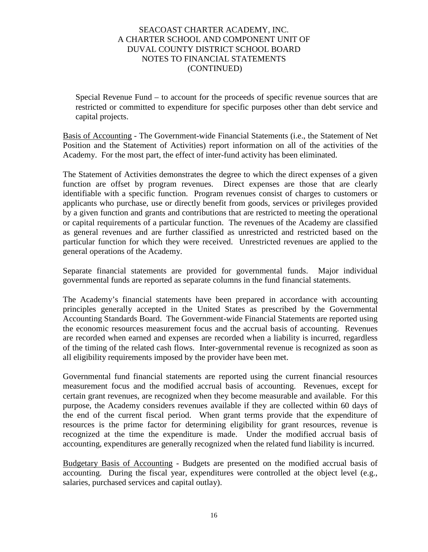Special Revenue Fund – to account for the proceeds of specific revenue sources that are restricted or committed to expenditure for specific purposes other than debt service and capital projects.

Basis of Accounting - The Government-wide Financial Statements (i.e., the Statement of Net Position and the Statement of Activities) report information on all of the activities of the Academy. For the most part, the effect of inter-fund activity has been eliminated.

The Statement of Activities demonstrates the degree to which the direct expenses of a given function are offset by program revenues. Direct expenses are those that are clearly identifiable with a specific function. Program revenues consist of charges to customers or applicants who purchase, use or directly benefit from goods, services or privileges provided by a given function and grants and contributions that are restricted to meeting the operational or capital requirements of a particular function. The revenues of the Academy are classified as general revenues and are further classified as unrestricted and restricted based on the particular function for which they were received. Unrestricted revenues are applied to the general operations of the Academy.

Separate financial statements are provided for governmental funds. Major individual governmental funds are reported as separate columns in the fund financial statements.

The Academy's financial statements have been prepared in accordance with accounting principles generally accepted in the United States as prescribed by the Governmental Accounting Standards Board. The Government-wide Financial Statements are reported using the economic resources measurement focus and the accrual basis of accounting. Revenues are recorded when earned and expenses are recorded when a liability is incurred, regardless of the timing of the related cash flows. Inter-governmental revenue is recognized as soon as all eligibility requirements imposed by the provider have been met.

Governmental fund financial statements are reported using the current financial resources measurement focus and the modified accrual basis of accounting. Revenues, except for certain grant revenues, are recognized when they become measurable and available. For this purpose, the Academy considers revenues available if they are collected within 60 days of the end of the current fiscal period. When grant terms provide that the expenditure of resources is the prime factor for determining eligibility for grant resources, revenue is recognized at the time the expenditure is made. Under the modified accrual basis of accounting, expenditures are generally recognized when the related fund liability is incurred.

Budgetary Basis of Accounting - Budgets are presented on the modified accrual basis of accounting. During the fiscal year, expenditures were controlled at the object level (e.g., salaries, purchased services and capital outlay).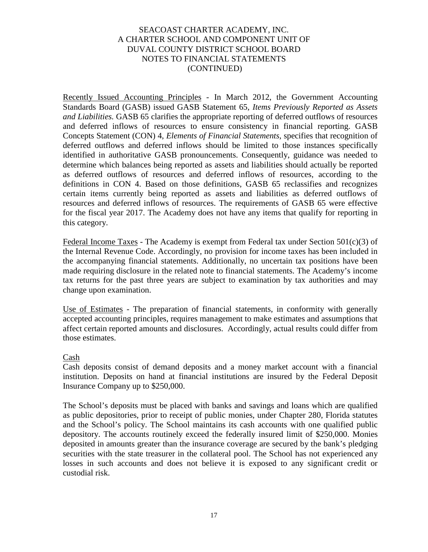Recently Issued Accounting Principles - In March 2012, the Government Accounting Standards Board (GASB) issued GASB Statement 65, *Items Previously Reported as Assets and Liabilities.* GASB 65 clarifies the appropriate reporting of deferred outflows of resources and deferred inflows of resources to ensure consistency in financial reporting. GASB Concepts Statement (CON) 4, *Elements of Financial Statements,* specifies that recognition of deferred outflows and deferred inflows should be limited to those instances specifically identified in authoritative GASB pronouncements. Consequently, guidance was needed to determine which balances being reported as assets and liabilities should actually be reported as deferred outflows of resources and deferred inflows of resources, according to the definitions in CON 4. Based on those definitions, GASB 65 reclassifies and recognizes certain items currently being reported as assets and liabilities as deferred outflows of resources and deferred inflows of resources. The requirements of GASB 65 were effective for the fiscal year 2017. The Academy does not have any items that qualify for reporting in this category.

Federal Income Taxes - The Academy is exempt from Federal tax under Section 501(c)(3) of the Internal Revenue Code. Accordingly, no provision for income taxes has been included in the accompanying financial statements. Additionally, no uncertain tax positions have been made requiring disclosure in the related note to financial statements. The Academy's income tax returns for the past three years are subject to examination by tax authorities and may change upon examination.

Use of Estimates - The preparation of financial statements, in conformity with generally accepted accounting principles, requires management to make estimates and assumptions that affect certain reported amounts and disclosures. Accordingly, actual results could differ from those estimates.

# Cash

Cash deposits consist of demand deposits and a money market account with a financial institution. Deposits on hand at financial institutions are insured by the Federal Deposit Insurance Company up to \$250,000.

The School's deposits must be placed with banks and savings and loans which are qualified as public depositories, prior to receipt of public monies, under Chapter 280, Florida statutes and the School's policy. The School maintains its cash accounts with one qualified public depository. The accounts routinely exceed the federally insured limit of \$250,000. Monies deposited in amounts greater than the insurance coverage are secured by the bank's pledging securities with the state treasurer in the collateral pool. The School has not experienced any losses in such accounts and does not believe it is exposed to any significant credit or custodial risk.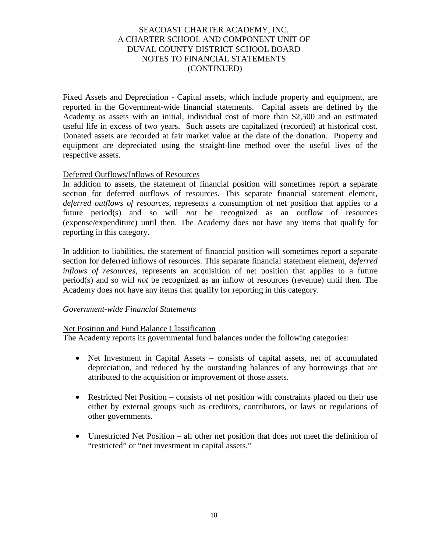Fixed Assets and Depreciation - Capital assets, which include property and equipment, are reported in the Government-wide financial statements. Capital assets are defined by the Academy as assets with an initial, individual cost of more than \$2,500 and an estimated useful life in excess of two years. Such assets are capitalized (recorded) at historical cost. Donated assets are recorded at fair market value at the date of the donation. Property and equipment are depreciated using the straight-line method over the useful lives of the respective assets.

## Deferred Outflows/Inflows of Resources

In addition to assets, the statement of financial position will sometimes report a separate section for deferred outflows of resources. This separate financial statement element, *deferred outflows of resources*, represents a consumption of net position that applies to a future period(s) and so will *not* be recognized as an outflow of resources (expense/expenditure) until then. The Academy does not have any items that qualify for reporting in this category.

In addition to liabilities, the statement of financial position will sometimes report a separate section for deferred inflows of resources. This separate financial statement element, *deferred inflows of resources*, represents an acquisition of net position that applies to a future period(s) and so will *not* be recognized as an inflow of resources (revenue) until then. The Academy does not have any items that qualify for reporting in this category.

# *Government-wide Financial Statements*

#### Net Position and Fund Balance Classification

The Academy reports its governmental fund balances under the following categories:

- Net Investment in Capital Assets consists of capital assets, net of accumulated depreciation, and reduced by the outstanding balances of any borrowings that are attributed to the acquisition or improvement of those assets.
- Restricted Net Position consists of net position with constraints placed on their use either by external groups such as creditors, contributors, or laws or regulations of other governments.
- Unrestricted Net Position all other net position that does not meet the definition of "restricted" or "net investment in capital assets."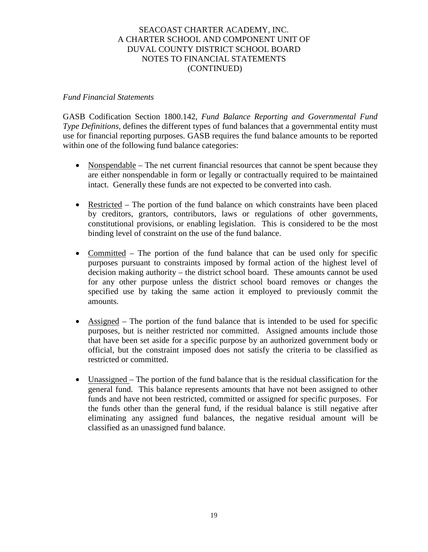#### *Fund Financial Statements*

GASB Codification Section 1800.142, *Fund Balance Reporting and Governmental Fund Type Definitions, defines the different types of fund balances that a governmental entity must* use for financial reporting purposes. GASB requires the fund balance amounts to be reported within one of the following fund balance categories:

- Nonspendable The net current financial resources that cannot be spent because they are either nonspendable in form or legally or contractually required to be maintained intact. Generally these funds are not expected to be converted into cash.
- Restricted The portion of the fund balance on which constraints have been placed by creditors, grantors, contributors, laws or regulations of other governments, constitutional provisions, or enabling legislation. This is considered to be the most binding level of constraint on the use of the fund balance.
- Committed The portion of the fund balance that can be used only for specific purposes pursuant to constraints imposed by formal action of the highest level of decision making authority – the district school board. These amounts cannot be used for any other purpose unless the district school board removes or changes the specified use by taking the same action it employed to previously commit the amounts.
- Assigned The portion of the fund balance that is intended to be used for specific purposes, but is neither restricted nor committed. Assigned amounts include those that have been set aside for a specific purpose by an authorized government body or official, but the constraint imposed does not satisfy the criteria to be classified as restricted or committed.
- Unassigned The portion of the fund balance that is the residual classification for the general fund. This balance represents amounts that have not been assigned to other funds and have not been restricted, committed or assigned for specific purposes. For the funds other than the general fund, if the residual balance is still negative after eliminating any assigned fund balances, the negative residual amount will be classified as an unassigned fund balance.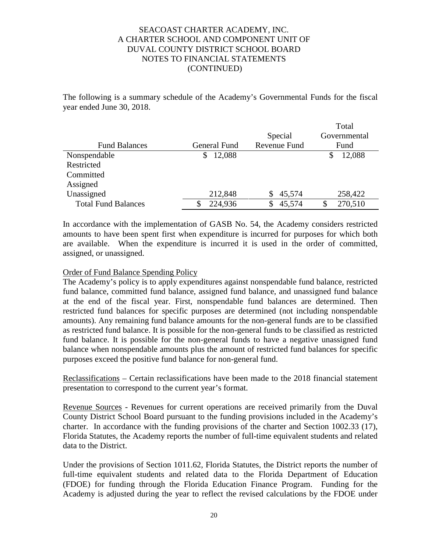The following is a summary schedule of the Academy's Governmental Funds for the fiscal year ended June 30, 2018.

|                            |              |              | Total         |
|----------------------------|--------------|--------------|---------------|
|                            |              | Special      | Governmental  |
| <b>Fund Balances</b>       | General Fund | Revenue Fund | Fund          |
| Nonspendable               | 12,088       |              | 12,088<br>S   |
| Restricted                 |              |              |               |
| Committed                  |              |              |               |
| Assigned                   |              |              |               |
| Unassigned                 | 212,848      | 45,574       | 258,422       |
| <b>Total Fund Balances</b> | 224,936      | 45,574       | 270,510<br>\$ |

In accordance with the implementation of GASB No. 54, the Academy considers restricted amounts to have been spent first when expenditure is incurred for purposes for which both are available. When the expenditure is incurred it is used in the order of committed, assigned, or unassigned.

## Order of Fund Balance Spending Policy

The Academy's policy is to apply expenditures against nonspendable fund balance, restricted fund balance, committed fund balance, assigned fund balance, and unassigned fund balance at the end of the fiscal year. First, nonspendable fund balances are determined. Then restricted fund balances for specific purposes are determined (not including nonspendable amounts). Any remaining fund balance amounts for the non-general funds are to be classified as restricted fund balance. It is possible for the non-general funds to be classified as restricted fund balance. It is possible for the non-general funds to have a negative unassigned fund balance when nonspendable amounts plus the amount of restricted fund balances for specific purposes exceed the positive fund balance for non-general fund.

Reclassifications – Certain reclassifications have been made to the 2018 financial statement presentation to correspond to the current year's format.

Revenue Sources - Revenues for current operations are received primarily from the Duval County District School Board pursuant to the funding provisions included in the Academy's charter. In accordance with the funding provisions of the charter and Section 1002.33 (17), Florida Statutes, the Academy reports the number of full-time equivalent students and related data to the District.

Under the provisions of Section 1011.62, Florida Statutes, the District reports the number of full-time equivalent students and related data to the Florida Department of Education (FDOE) for funding through the Florida Education Finance Program. Funding for the Academy is adjusted during the year to reflect the revised calculations by the FDOE under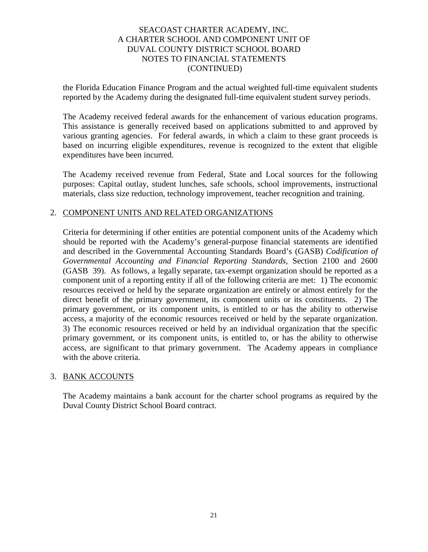the Florida Education Finance Program and the actual weighted full-time equivalent students reported by the Academy during the designated full-time equivalent student survey periods.

The Academy received federal awards for the enhancement of various education programs. This assistance is generally received based on applications submitted to and approved by various granting agencies. For federal awards, in which a claim to these grant proceeds is based on incurring eligible expenditures, revenue is recognized to the extent that eligible expenditures have been incurred.

The Academy received revenue from Federal, State and Local sources for the following purposes: Capital outlay, student lunches, safe schools, school improvements, instructional materials, class size reduction, technology improvement, teacher recognition and training.

## 2. COMPONENT UNITS AND RELATED ORGANIZATIONS

Criteria for determining if other entities are potential component units of the Academy which should be reported with the Academy's general-purpose financial statements are identified and described in the Governmental Accounting Standards Board's (GASB) *Codification of Governmental Accounting and Financial Reporting Standards*, Section 2100 and 2600 (GASB 39). As follows, a legally separate, tax-exempt organization should be reported as a component unit of a reporting entity if all of the following criteria are met: 1) The economic resources received or held by the separate organization are entirely or almost entirely for the direct benefit of the primary government, its component units or its constituents. 2) The primary government, or its component units, is entitled to or has the ability to otherwise access, a majority of the economic resources received or held by the separate organization. 3) The economic resources received or held by an individual organization that the specific primary government, or its component units, is entitled to, or has the ability to otherwise access, are significant to that primary government. The Academy appears in compliance with the above criteria.

# 3. BANK ACCOUNTS

The Academy maintains a bank account for the charter school programs as required by the Duval County District School Board contract.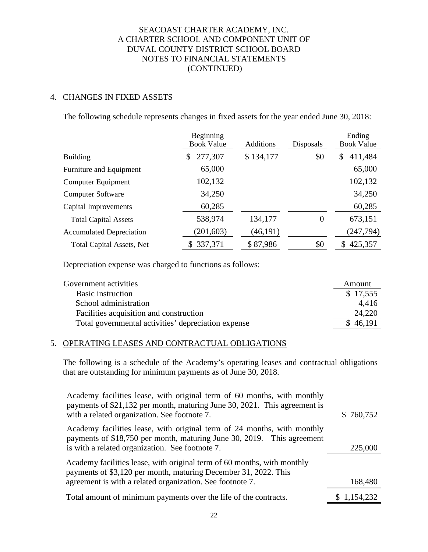# 4. CHANGES IN FIXED ASSETS

The following schedule represents changes in fixed assets for the year ended June 30, 2018:

|                                  | Beginning<br><b>Book Value</b> | <b>Additions</b> |          | Ending<br><b>Book Value</b> |  |  |
|----------------------------------|--------------------------------|------------------|----------|-----------------------------|--|--|
| <b>Building</b>                  | 277,307<br>\$                  | \$134,177        | \$0      | 411,484<br>\$               |  |  |
| Furniture and Equipment          | 65,000                         |                  |          | 65,000                      |  |  |
| Computer Equipment               | 102,132                        |                  |          | 102,132                     |  |  |
| <b>Computer Software</b>         | 34,250                         |                  |          | 34,250                      |  |  |
| Capital Improvements             | 60,285                         |                  |          | 60,285                      |  |  |
| <b>Total Capital Assets</b>      | 538,974                        | 134,177          | $\theta$ | 673,151                     |  |  |
| <b>Accumulated Depreciation</b>  | (201, 603)                     | (46, 191)        |          | (247, 794)                  |  |  |
| <b>Total Capital Assets, Net</b> | \$337,371                      | \$87,986         | \$0      | 425,357<br>\$               |  |  |

Depreciation expense was charged to functions as follows:

| Government activities                               | Amount   |
|-----------------------------------------------------|----------|
| <b>Basic instruction</b>                            | \$17,555 |
| School administration                               | 4.416    |
| Facilities acquisition and construction             | 24,220   |
| Total governmental activities' depreciation expense | , 46,191 |

#### 5. OPERATING LEASES AND CONTRACTUAL OBLIGATIONS

The following is a schedule of the Academy's operating leases and contractual obligations that are outstanding for minimum payments as of June 30, 2018.

| Academy facilities lease, with original term of 60 months, with monthly<br>payments of \$21,132 per month, maturing June 30, 2021. This agreement is<br>with a related organization. See footnote 7.    | \$760,752   |
|---------------------------------------------------------------------------------------------------------------------------------------------------------------------------------------------------------|-------------|
| Academy facilities lease, with original term of 24 months, with monthly<br>payments of \$18,750 per month, maturing June 30, 2019. This agreement<br>is with a related organization. See footnote 7.    | 225,000     |
| Academy facilities lease, with original term of 60 months, with monthly<br>payments of \$3,120 per month, maturing December 31, 2022. This<br>agreement is with a related organization. See footnote 7. | 168,480     |
| Total amount of minimum payments over the life of the contracts.                                                                                                                                        | \$1,154,232 |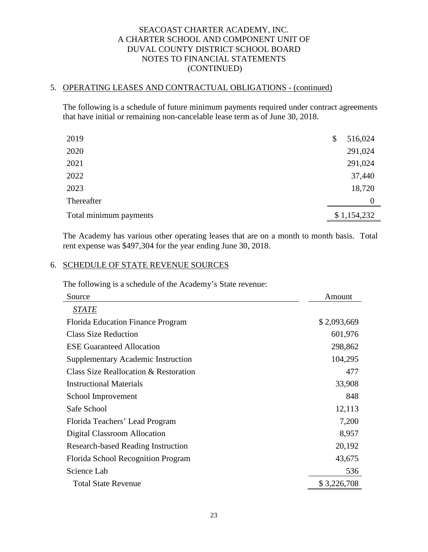# 5. OPERATING LEASES AND CONTRACTUAL OBLIGATIONS - (continued)

The following is a schedule of future minimum payments required under contract agreements that have initial or remaining non-cancelable lease term as of June 30, 2018.

| 2019                   | \$<br>516,024 |
|------------------------|---------------|
| 2020                   | 291,024       |
| 2021                   | 291,024       |
| 2022                   | 37,440        |
| 2023                   | 18,720        |
| Thereafter             | $\Omega$      |
| Total minimum payments | \$1,154,232   |

The Academy has various other operating leases that are on a month to month basis. Total rent expense was \$497,304 for the year ending June 30, 2018.

# 6. SCHEDULE OF STATE REVENUE SOURCES

The following is a schedule of the Academy's State revenue:

| Source                                    | Amount      |
|-------------------------------------------|-------------|
| <b>STATE</b>                              |             |
| <b>Florida Education Finance Program</b>  | \$2,093,669 |
| <b>Class Size Reduction</b>               | 601,976     |
| <b>ESE Guaranteed Allocation</b>          | 298,862     |
| <b>Supplementary Academic Instruction</b> | 104,295     |
| Class Size Reallocation & Restoration     | 477         |
| <b>Instructional Materials</b>            | 33,908      |
| School Improvement                        | 848         |
| Safe School                               | 12,113      |
| Florida Teachers' Lead Program            | 7,200       |
| Digital Classroom Allocation              | 8,957       |
| <b>Research-based Reading Instruction</b> | 20,192      |
| Florida School Recognition Program        | 43,675      |
| Science Lab                               | 536         |
| <b>Total State Revenue</b>                | \$3,226,708 |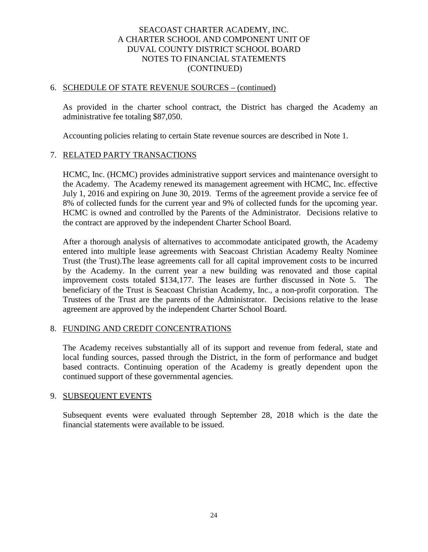#### 6. SCHEDULE OF STATE REVENUE SOURCES – (continued)

As provided in the charter school contract, the District has charged the Academy an administrative fee totaling \$87,050.

Accounting policies relating to certain State revenue sources are described in Note 1.

#### 7. RELATED PARTY TRANSACTIONS

HCMC, Inc. (HCMC) provides administrative support services and maintenance oversight to the Academy. The Academy renewed its management agreement with HCMC, Inc. effective July 1, 2016 and expiring on June 30, 2019. Terms of the agreement provide a service fee of 8% of collected funds for the current year and 9% of collected funds for the upcoming year. HCMC is owned and controlled by the Parents of the Administrator. Decisions relative to the contract are approved by the independent Charter School Board.

After a thorough analysis of alternatives to accommodate anticipated growth, the Academy entered into multiple lease agreements with Seacoast Christian Academy Realty Nominee Trust (the Trust).The lease agreements call for all capital improvement costs to be incurred by the Academy. In the current year a new building was renovated and those capital improvement costs totaled \$134,177. The leases are further discussed in Note 5. The beneficiary of the Trust is Seacoast Christian Academy, Inc., a non-profit corporation. The Trustees of the Trust are the parents of the Administrator. Decisions relative to the lease agreement are approved by the independent Charter School Board.

#### 8. FUNDING AND CREDIT CONCENTRATIONS

 The Academy receives substantially all of its support and revenue from federal, state and local funding sources, passed through the District, in the form of performance and budget based contracts. Continuing operation of the Academy is greatly dependent upon the continued support of these governmental agencies.

#### 9. SUBSEQUENT EVENTS

Subsequent events were evaluated through September 28, 2018 which is the date the financial statements were available to be issued.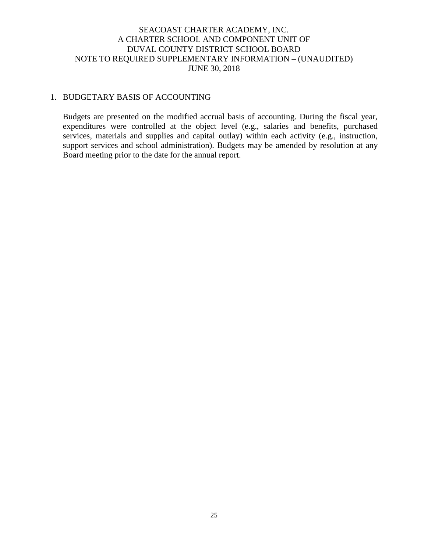# SEACOAST CHARTER ACADEMY, INC. A CHARTER SCHOOL AND COMPONENT UNIT OF DUVAL COUNTY DISTRICT SCHOOL BOARD NOTE TO REQUIRED SUPPLEMENTARY INFORMATION – (UNAUDITED) JUNE 30, 2018

# 1. BUDGETARY BASIS OF ACCOUNTING

Budgets are presented on the modified accrual basis of accounting. During the fiscal year, expenditures were controlled at the object level (e.g., salaries and benefits, purchased services, materials and supplies and capital outlay) within each activity (e.g., instruction, support services and school administration). Budgets may be amended by resolution at any Board meeting prior to the date for the annual report.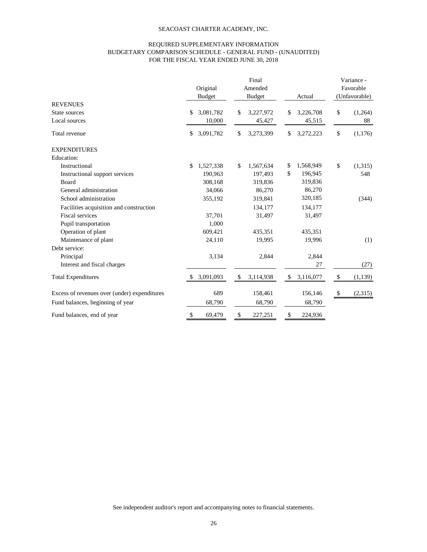# REQUIRED SUPPLEMENTARY INFORMATION BUDGETARY COMPARISON SCHEDULE - GENERAL FUND - (UNAUDITED) FOR THE FISCAL YEAR ENDED JUNE 30, 2018

|                                              | Original<br><b>Budget</b>              | Final<br>Amended<br><b>Budget</b>      | Actual                                 | Variance -<br>Favorable<br>(Unfavorable) |  |
|----------------------------------------------|----------------------------------------|----------------------------------------|----------------------------------------|------------------------------------------|--|
| <b>REVENUES</b>                              |                                        |                                        |                                        |                                          |  |
| State sources                                | 3,081,782<br>\$                        | \$<br>3,227,972                        | 3,226,708<br>\$                        | \$<br>(1,264)                            |  |
| Local sources                                | 10,000                                 | 45,427                                 | 45,515                                 | 88                                       |  |
| Total revenue                                | 3,091,782<br>\$                        | \$<br>3,273,399                        | 3,272,223<br>\$                        | \$<br>(1,176)                            |  |
| <b>EXPENDITURES</b>                          |                                        |                                        |                                        |                                          |  |
| <b>Education:</b>                            |                                        |                                        |                                        |                                          |  |
| Instructional                                | $\boldsymbol{\mathsf{S}}$<br>1,527,338 | \$<br>1,567,634                        | 1,568,949<br>\$                        | \$<br>(1,315)                            |  |
| Instructional support services               | 190,963                                | 197,493                                | $\mathbb{S}$<br>196,945                | 548                                      |  |
| <b>Board</b>                                 | 308,168                                | 319,836                                | 319,836                                |                                          |  |
| General administration                       | 34,066                                 | 86,270                                 | 86,270                                 |                                          |  |
| School administration                        | 355,192                                | 319,841                                | 320,185                                | (344)                                    |  |
| Facilities acquisition and construction      |                                        | 134,177                                | 134,177                                |                                          |  |
| <b>Fiscal services</b>                       | 37,701                                 | 31,497                                 | 31,497                                 |                                          |  |
| Pupil transportation                         | 1,000                                  |                                        |                                        |                                          |  |
| Operation of plant                           | 609,421                                | 435,351                                | 435,351                                |                                          |  |
| Maintenance of plant                         | 24,110                                 | 19,995                                 | 19,996                                 | (1)                                      |  |
| Debt service:                                |                                        |                                        |                                        |                                          |  |
| Principal                                    | 3,134                                  | 2,844                                  | 2,844                                  |                                          |  |
| Interest and fiscal charges                  |                                        |                                        | 27                                     | (27)                                     |  |
| <b>Total Expenditures</b>                    | 3,091,093<br>$\mathcal{S}$             | $\boldsymbol{\mathsf{S}}$<br>3,114,938 | $\boldsymbol{\mathsf{S}}$<br>3,116,077 | \$<br>(1,139)                            |  |
| Excess of revenues over (under) expenditures | 689                                    | 158,461                                | 156,146                                | (2,315)<br>$\boldsymbol{\mathsf{\$}}$    |  |
| Fund balances, beginning of year             | 68,790                                 | 68,790                                 | 68,790                                 |                                          |  |
| Fund balances, end of year                   | 69,479<br>\$                           | 227,251<br>$\boldsymbol{\mathsf{S}}$   | \$<br>224,936                          |                                          |  |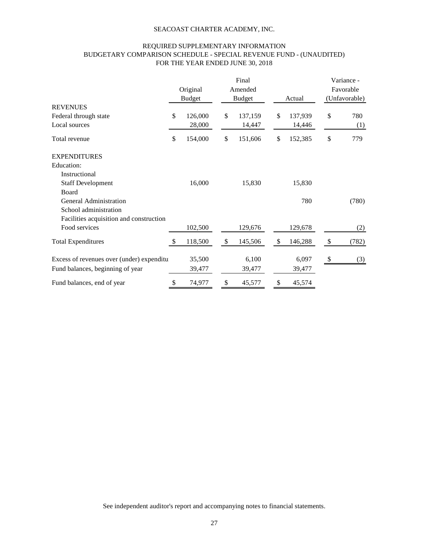# REQUIRED SUPPLEMENTARY INFORMATION BUDGETARY COMPARISON SCHEDULE - SPECIAL REVENUE FUND - (UNAUDITED) FOR THE YEAR ENDED JUNE 30, 2018

|                                           |              |                           |    | Final                    |    |         |                           | Variance -                 |  |
|-------------------------------------------|--------------|---------------------------|----|--------------------------|----|---------|---------------------------|----------------------------|--|
|                                           |              | Original<br><b>Budget</b> |    | Amended<br><b>Budget</b> |    | Actual  |                           | Favorable<br>(Unfavorable) |  |
|                                           |              |                           |    |                          |    |         |                           |                            |  |
| Federal through state                     | \$           | 126,000                   | \$ | 137,159                  | \$ | 137,939 | \$                        | 780                        |  |
| Local sources                             |              | 28,000                    |    | 14,447                   |    | 14,446  |                           | (1)                        |  |
| Total revenue                             | \$           | 154,000                   | \$ | 151,606                  | \$ | 152,385 | \$                        | 779                        |  |
| <b>EXPENDITURES</b>                       |              |                           |    |                          |    |         |                           |                            |  |
| <b>Education:</b>                         |              |                           |    |                          |    |         |                           |                            |  |
| Instructional                             |              |                           |    |                          |    |         |                           |                            |  |
| <b>Staff Development</b>                  |              | 16,000                    |    | 15,830                   |    | 15,830  |                           |                            |  |
| Board                                     |              |                           |    |                          |    |         |                           |                            |  |
| <b>General Administration</b>             |              |                           |    |                          |    | 780     |                           | (780)                      |  |
| School administration                     |              |                           |    |                          |    |         |                           |                            |  |
| Facilities acquisition and construction   |              |                           |    |                          |    |         |                           |                            |  |
| Food services                             |              | 102,500                   |    | 129,676                  |    | 129,678 |                           | (2)                        |  |
| <b>Total Expenditures</b>                 | $\mathbb{S}$ | 118,500                   | \$ | 145,506                  | \$ | 146,288 | $\boldsymbol{\mathsf{S}}$ | (782)                      |  |
| Excess of revenues over (under) expenditu |              | 35,500                    |    | 6,100                    |    | 6,097   | $\boldsymbol{\mathsf{S}}$ | (3)                        |  |
| Fund balances, beginning of year          |              | 39,477                    |    | 39,477                   |    | 39,477  |                           |                            |  |
| Fund balances, end of year                | \$           | 74,977                    | \$ | 45,577                   | \$ | 45,574  |                           |                            |  |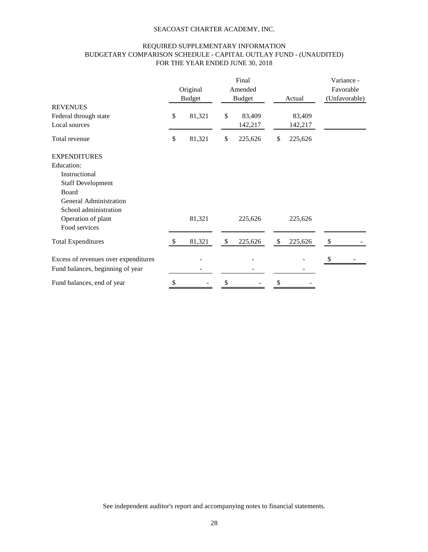# REQUIRED SUPPLEMENTARY INFORMATION BUDGETARY COMPARISON SCHEDULE - CAPITAL OUTLAY FUND - (UNAUDITED) FOR THE YEAR ENDED JUNE 30, 2018

|                                      |               | Original<br><b>Budget</b> |                           | Final<br>Amended<br><b>Budget</b> |              | Actual  | Variance -<br>Favorable<br>(Unfavorable) |
|--------------------------------------|---------------|---------------------------|---------------------------|-----------------------------------|--------------|---------|------------------------------------------|
| <b>REVENUES</b>                      |               |                           |                           |                                   |              |         |                                          |
| Federal through state                | \$            | 81,321                    | \$                        | 83,409                            |              | 83,409  |                                          |
| Local sources                        |               |                           |                           | 142,217                           |              | 142,217 |                                          |
| Total revenue                        | \$            | 81,321                    | \$                        | 225,626                           | \$           | 225,626 |                                          |
| <b>EXPENDITURES</b>                  |               |                           |                           |                                   |              |         |                                          |
| Education:                           |               |                           |                           |                                   |              |         |                                          |
| Instructional                        |               |                           |                           |                                   |              |         |                                          |
| <b>Staff Development</b>             |               |                           |                           |                                   |              |         |                                          |
| Board                                |               |                           |                           |                                   |              |         |                                          |
| <b>General Administration</b>        |               |                           |                           |                                   |              |         |                                          |
| School administration                |               |                           |                           |                                   |              |         |                                          |
| Operation of plant                   |               | 81,321                    |                           | 225,626                           |              | 225,626 |                                          |
| Food services                        |               |                           |                           |                                   |              |         |                                          |
| <b>Total Expenditures</b>            | <sup>\$</sup> | 81,321                    | $\boldsymbol{\mathsf{S}}$ | 225,626                           | $\mathbb{S}$ | 225,626 | $\boldsymbol{\mathsf{\$}}$               |
| Excess of revenues over expenditures |               |                           |                           |                                   |              |         | \$                                       |
| Fund balances, beginning of year     |               |                           |                           |                                   |              |         |                                          |
| Fund balances, end of year           | \$            |                           |                           |                                   | \$           |         |                                          |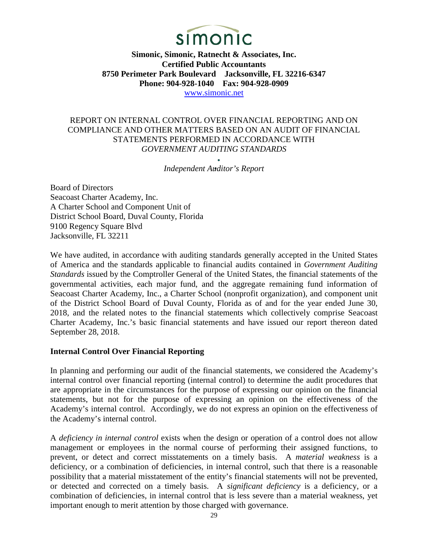

**Simonic, Simonic, Ratnecht & Associates, Inc. Certified Public Accountants 8750 Perimeter Park Boulevard Jacksonville, FL 32216-6347 Phone: 904-928-1040 Fax: 904-928-0909**  [www.simonic.net](http://www.simonic.net/)

## REPORT ON INTERNAL CONTROL OVER FINANCIAL REPORTING AND ON COMPLIANCE AND OTHER MATTERS BASED ON AN AUDIT OF FINANCIAL STATEMENTS PERFORMED IN ACCORDANCE WITH *GOVERNMENT AUDITING STANDARDS*

*Independent Auditor's Report* 

Board of Directors Seacoast Charter Academy, Inc. A Charter School and Component Unit of District School Board, Duval County, Florida 9100 Regency Square Blvd Jacksonville, FL 32211

We have audited, in accordance with auditing standards generally accepted in the United States of America and the standards applicable to financial audits contained in *Government Auditing Standards* issued by the Comptroller General of the United States, the financial statements of the governmental activities, each major fund, and the aggregate remaining fund information of Seacoast Charter Academy, Inc., a Charter School (nonprofit organization), and component unit of the District School Board of Duval County, Florida as of and for the year ended June 30, 2018, and the related notes to the financial statements which collectively comprise Seacoast Charter Academy, Inc.'s basic financial statements and have issued our report thereon dated September 28, 2018.

#### **Internal Control Over Financial Reporting**

In planning and performing our audit of the financial statements, we considered the Academy's internal control over financial reporting (internal control) to determine the audit procedures that are appropriate in the circumstances for the purpose of expressing our opinion on the financial statements, but not for the purpose of expressing an opinion on the effectiveness of the Academy's internal control. Accordingly, we do not express an opinion on the effectiveness of the Academy's internal control.

A *deficiency in internal control* exists when the design or operation of a control does not allow management or employees in the normal course of performing their assigned functions, to prevent, or detect and correct misstatements on a timely basis. A *material weakness* is a deficiency, or a combination of deficiencies, in internal control, such that there is a reasonable possibility that a material misstatement of the entity's financial statements will not be prevented, or detected and corrected on a timely basis. A *significant deficiency* is a deficiency, or a combination of deficiencies, in internal control that is less severe than a material weakness, yet important enough to merit attention by those charged with governance.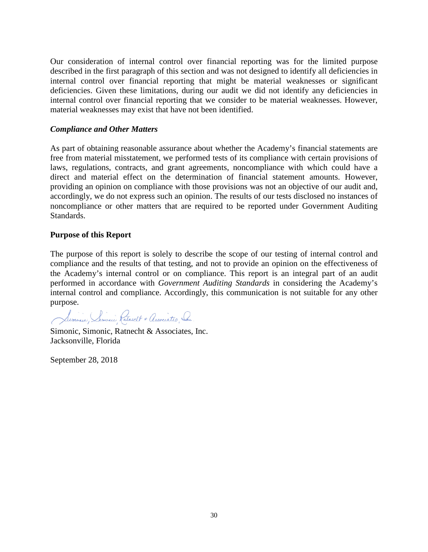Our consideration of internal control over financial reporting was for the limited purpose described in the first paragraph of this section and was not designed to identify all deficiencies in internal control over financial reporting that might be material weaknesses or significant deficiencies. Given these limitations, during our audit we did not identify any deficiencies in internal control over financial reporting that we consider to be material weaknesses. However, material weaknesses may exist that have not been identified.

#### *Compliance and Other Matters*

As part of obtaining reasonable assurance about whether the Academy's financial statements are free from material misstatement, we performed tests of its compliance with certain provisions of laws, regulations, contracts, and grant agreements, noncompliance with which could have a direct and material effect on the determination of financial statement amounts. However, providing an opinion on compliance with those provisions was not an objective of our audit and, accordingly, we do not express such an opinion. The results of our tests disclosed no instances of noncompliance or other matters that are required to be reported under Government Auditing Standards.

#### **Purpose of this Report**

The purpose of this report is solely to describe the scope of our testing of internal control and compliance and the results of that testing, and not to provide an opinion on the effectiveness of the Academy's internal control or on compliance. This report is an integral part of an audit performed in accordance with *Government Auditing Standards* in considering the Academy's internal control and compliance. Accordingly, this communication is not suitable for any other purpose.

Simonic, Semonic Ratrect + Associates, Ca.

Simonic, Simonic, Ratnecht & Associates, Inc. Jacksonville, Florida

September 28, 2018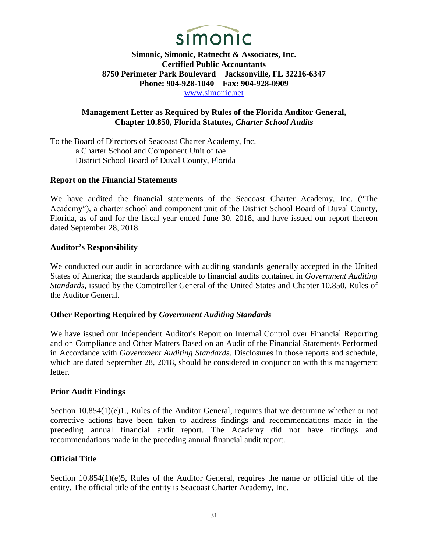

**Simonic, Simonic, Ratnecht & Associates, Inc. Certified Public Accountants 8750 Perimeter Park Boulevard Jacksonville, FL 32216-6347 Phone: 904-928-1040 Fax: 904-928-0909**  [www.simonic.net](http://www.simonic.net/)

# **Management Letter as Required by Rules of the Florida Auditor General, Chapter 10.850, Florida Statutes,** *Charter School Audits*

To the Board of Directors of Seacoast Charter Academy, Inc. a Charter School and Component Unit of the District School Board of Duval County, Florida

#### **Report on the Financial Statements**

We have audited the financial statements of the Seacoast Charter Academy, Inc. ("The Academy"), a charter school and component unit of the District School Board of Duval County, Florida, as of and for the fiscal year ended June 30, 2018, and have issued our report thereon dated September 28, 2018.

#### **Auditor's Responsibility**

We conducted our audit in accordance with auditing standards generally accepted in the United States of America; the standards applicable to financial audits contained in *Government Auditing Standards,* issued by the Comptroller General of the United States and Chapter 10.850, Rules of the Auditor General.

# **Other Reporting Required by** *Government Auditing Standards*

We have issued our Independent Auditor's Report on Internal Control over Financial Reporting and on Compliance and Other Matters Based on an Audit of the Financial Statements Performed in Accordance with *Government Auditing Standards*. Disclosures in those reports and schedule, which are dated September 28, 2018, should be considered in conjunction with this management letter.

#### **Prior Audit Findings**

Section 10.854(1)(e)1., Rules of the Auditor General, requires that we determine whether or not corrective actions have been taken to address findings and recommendations made in the preceding annual financial audit report. The Academy did not have findings and recommendations made in the preceding annual financial audit report.

#### **Official Title**

Section 10.854(1)(e)5, Rules of the Auditor General, requires the name or official title of the entity. The official title of the entity is Seacoast Charter Academy, Inc.